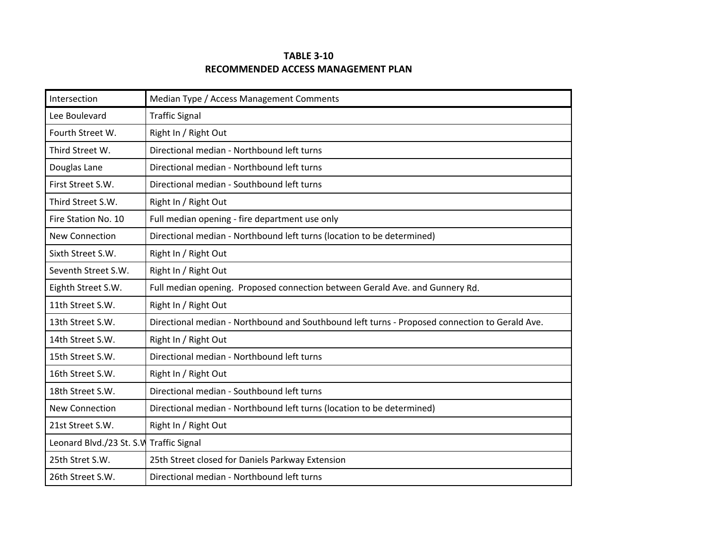## **TABLE 3‐10 RECOMMENDED ACCESS MANAGEMENT PLAN**

| Intersection                            | Median Type / Access Management Comments                                                       |
|-----------------------------------------|------------------------------------------------------------------------------------------------|
| Lee Boulevard                           | <b>Traffic Signal</b>                                                                          |
| Fourth Street W.                        | Right In / Right Out                                                                           |
| Third Street W.                         | Directional median - Northbound left turns                                                     |
| Douglas Lane                            | Directional median - Northbound left turns                                                     |
| First Street S.W.                       | Directional median - Southbound left turns                                                     |
| Third Street S.W.                       | Right In / Right Out                                                                           |
| Fire Station No. 10                     | Full median opening - fire department use only                                                 |
| <b>New Connection</b>                   | Directional median - Northbound left turns (location to be determined)                         |
| Sixth Street S.W.                       | Right In / Right Out                                                                           |
| Seventh Street S.W.                     | Right In / Right Out                                                                           |
| Eighth Street S.W.                      | Full median opening. Proposed connection between Gerald Ave. and Gunnery Rd.                   |
| 11th Street S.W.                        | Right In / Right Out                                                                           |
| 13th Street S.W.                        | Directional median - Northbound and Southbound left turns - Proposed connection to Gerald Ave. |
| 14th Street S.W.                        | Right In / Right Out                                                                           |
| 15th Street S.W.                        | Directional median - Northbound left turns                                                     |
| 16th Street S.W.                        | Right In / Right Out                                                                           |
| 18th Street S.W.                        | Directional median - Southbound left turns                                                     |
| <b>New Connection</b>                   | Directional median - Northbound left turns (location to be determined)                         |
| 21st Street S.W.                        | Right In / Right Out                                                                           |
| Leonard Blvd./23 St. S.V Traffic Signal |                                                                                                |
| 25th Stret S.W.                         | 25th Street closed for Daniels Parkway Extension                                               |
| 26th Street S.W.                        | Directional median - Northbound left turns                                                     |